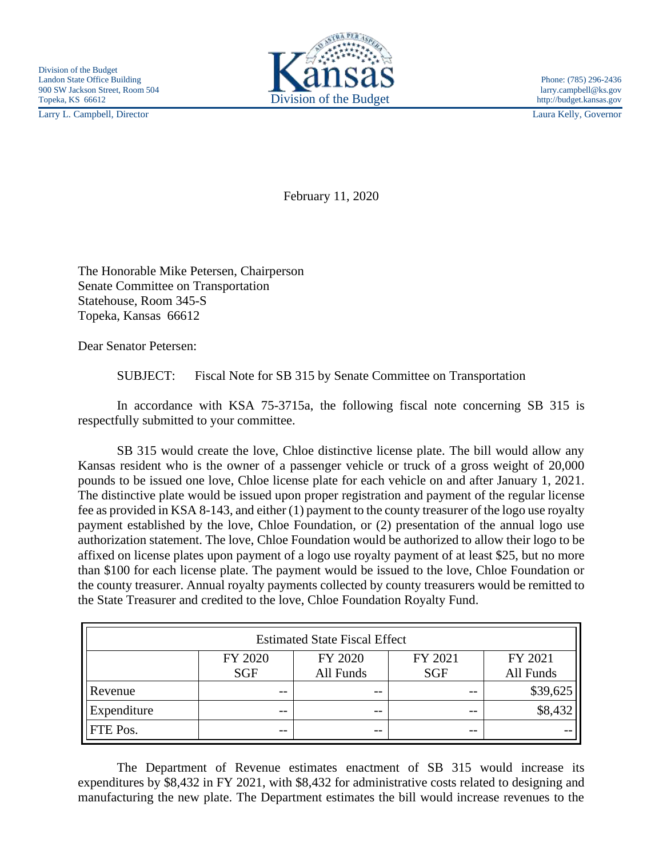Larry L. Campbell, Director Laura Kelly, Governor



February 11, 2020

The Honorable Mike Petersen, Chairperson Senate Committee on Transportation Statehouse, Room 345-S Topeka, Kansas 66612

Dear Senator Petersen:

SUBJECT: Fiscal Note for SB 315 by Senate Committee on Transportation

In accordance with KSA 75-3715a, the following fiscal note concerning SB 315 is respectfully submitted to your committee.

SB 315 would create the love, Chloe distinctive license plate. The bill would allow any Kansas resident who is the owner of a passenger vehicle or truck of a gross weight of 20,000 pounds to be issued one love, Chloe license plate for each vehicle on and after January 1, 2021. The distinctive plate would be issued upon proper registration and payment of the regular license fee as provided in KSA 8-143, and either (1) payment to the county treasurer of the logo use royalty payment established by the love, Chloe Foundation, or (2) presentation of the annual logo use authorization statement. The love, Chloe Foundation would be authorized to allow their logo to be affixed on license plates upon payment of a logo use royalty payment of at least \$25, but no more than \$100 for each license plate. The payment would be issued to the love, Chloe Foundation or the county treasurer. Annual royalty payments collected by county treasurers would be remitted to the State Treasurer and credited to the love, Chloe Foundation Royalty Fund.

| <b>Estimated State Fiscal Effect</b> |                       |                      |                       |                      |
|--------------------------------------|-----------------------|----------------------|-----------------------|----------------------|
|                                      | FY 2020<br><b>SGF</b> | FY 2020<br>All Funds | FY 2021<br><b>SGF</b> | FY 2021<br>All Funds |
| Revenue                              | --                    | --                   | $ -$                  | \$39,625             |
| Expenditure                          | $- -$                 | $- -$                | $- -$                 | \$8,432              |
| FTE Pos.                             | $- -$                 | $- -$                | $- -$                 |                      |

The Department of Revenue estimates enactment of SB 315 would increase its expenditures by \$8,432 in FY 2021, with \$8,432 for administrative costs related to designing and manufacturing the new plate. The Department estimates the bill would increase revenues to the